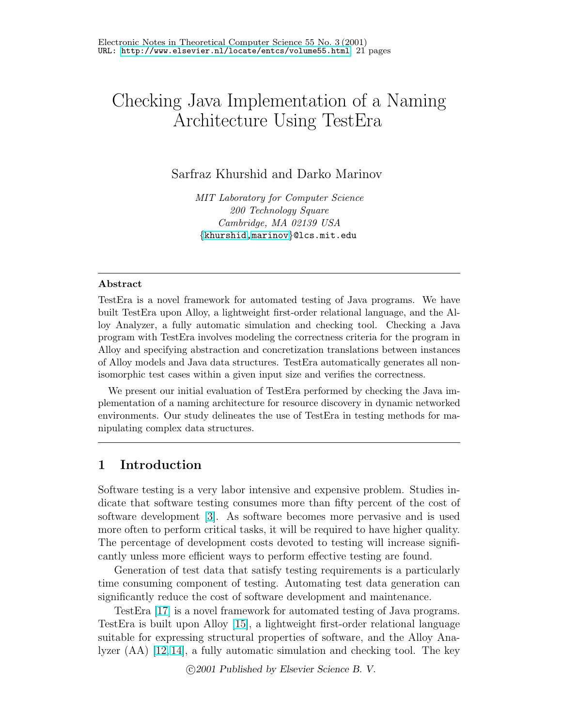# <span id="page-0-0"></span>Checking Java Implementation of a Naming Architecture Using TestEra

Sarfraz Khurshid and Darko Marinov

MIT Laboratory for Computer Science 200 Technology Square Cambridge, MA 02139 USA {[khurshid,](mailto:khurshid@lcs.mit.edu)[marinov](mailto:marinov@lcs.mit.edu)}@lcs.mit.edu

#### Abstract

TestEra is a novel framework for automated testing of Java programs. We have built TestEra upon Alloy, a lightweight first-order relational language, and the Alloy Analyzer, a fully automatic simulation and checking tool. Checking a Java program with TestEra involves modeling the correctness criteria for the program in Alloy and specifying abstraction and concretization translations between instances of Alloy models and Java data structures. TestEra automatically generates all nonisomorphic test cases within a given input size and verifies the correctness.

We present our initial evaluation of TestEra performed by checking the Java implementation of a naming architecture for resource discovery in dynamic networked environments. Our study delineates the use of TestEra in testing methods for manipulating complex data structures.

# 1 Introduction

Software testing is a very labor intensive and expensive problem. Studies indicate that software testing consumes more than fifty percent of the cost of software development [\[3\]](#page-17-0). As software becomes more pervasive and is used more often to perform critical tasks, it will be required to have higher quality. The percentage of development costs devoted to testing will increase significantly unless more efficient ways to perform effective testing are found.

Generation of test data that satisfy testing requirements is a particularly time consuming component of testing. Automating test data generation can significantly reduce the cost of software development and maintenance.

TestEra [\[17\]](#page-18-0) is a novel framework for automated testing of Java programs. TestEra is built upon Alloy [\[15\]](#page-18-0), a lightweight first-order relational language suitable for expressing structural properties of software, and the Alloy Analyzer (AA) [\[12,](#page-18-0) [14\]](#page-18-0), a fully automatic simulation and checking tool. The key

°c 2001 Published by Elsevier Science B. V.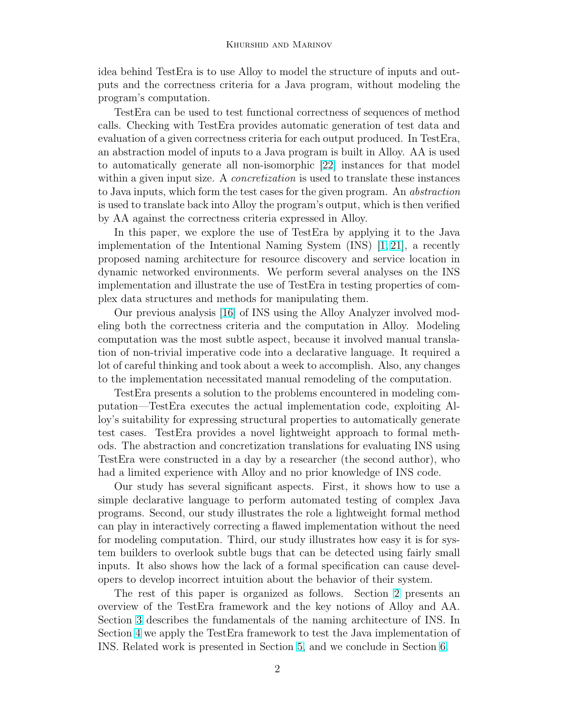idea behind TestEra is to use Alloy to model the structure of inputs and outputs and the correctness criteria for a Java program, without modeling the program's computation.

TestEra can be used to test functional correctness of sequences of method calls. Checking with TestEra provides automatic generation of test data and evaluation of a given correctness criteria for each output produced. In TestEra, an abstraction model of inputs to a Java program is built in Alloy. AA is used to automatically generate all non-isomorphic [\[22\]](#page-18-0) instances for that model within a given input size. A *concretization* is used to translate these instances to Java inputs, which form the test cases for the given program. An abstraction is used to translate back into Alloy the program's output, which is then verified by AA against the correctness criteria expressed in Alloy.

In this paper, we explore the use of TestEra by applying it to the Java implementation of the Intentional Naming System (INS) [\[1,](#page-17-0) [21\]](#page-18-0), a recently proposed naming architecture for resource discovery and service location in dynamic networked environments. We perform several analyses on the INS implementation and illustrate the use of TestEra in testing properties of complex data structures and methods for manipulating them.

Our previous analysis [\[16\]](#page-18-0) of INS using the Alloy Analyzer involved modeling both the correctness criteria and the computation in Alloy. Modeling computation was the most subtle aspect, because it involved manual translation of non-trivial imperative code into a declarative language. It required a lot of careful thinking and took about a week to accomplish. Also, any changes to the implementation necessitated manual remodeling of the computation.

TestEra presents a solution to the problems encountered in modeling computation—TestEra executes the actual implementation code, exploiting Alloy's suitability for expressing structural properties to automatically generate test cases. TestEra provides a novel lightweight approach to formal methods. The abstraction and concretization translations for evaluating INS using TestEra were constructed in a day by a researcher (the second author), who had a limited experience with Alloy and no prior knowledge of INS code.

Our study has several significant aspects. First, it shows how to use a simple declarative language to perform automated testing of complex Java programs. Second, our study illustrates the role a lightweight formal method can play in interactively correcting a flawed implementation without the need for modeling computation. Third, our study illustrates how easy it is for system builders to overlook subtle bugs that can be detected using fairly small inputs. It also shows how the lack of a formal specification can cause developers to develop incorrect intuition about the behavior of their system.

The rest of this paper is organized as follows. Section [2](#page-2-0) presents an overview of the TestEra framework and the key notions of Alloy and AA. Section [3](#page-6-0) describes the fundamentals of the naming architecture of INS. In Section [4](#page-7-0) we apply the TestEra framework to test the Java implementation of INS. Related work is presented in Section [5,](#page-15-0) and we conclude in Section [6.](#page-16-0)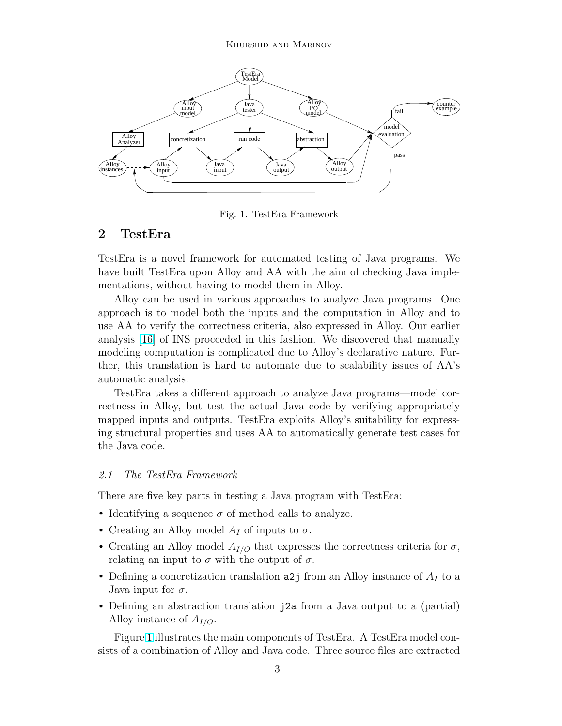<span id="page-2-0"></span>

Fig. 1. TestEra Framework

# 2 TestEra

TestEra is a novel framework for automated testing of Java programs. We have built TestEra upon Alloy and AA with the aim of checking Java implementations, without having to model them in Alloy.

Alloy can be used in various approaches to analyze Java programs. One approach is to model both the inputs and the computation in Alloy and to use AA to verify the correctness criteria, also expressed in Alloy. Our earlier analysis [\[16\]](#page-18-0) of INS proceeded in this fashion. We discovered that manually modeling computation is complicated due to Alloy's declarative nature. Further, this translation is hard to automate due to scalability issues of AA's automatic analysis.

TestEra takes a different approach to analyze Java programs—model correctness in Alloy, but test the actual Java code by verifying appropriately mapped inputs and outputs. TestEra exploits Alloy's suitability for expressing structural properties and uses AA to automatically generate test cases for the Java code.

#### 2.1 The TestEra Framework

There are five key parts in testing a Java program with TestEra:

- Identifying a sequence  $\sigma$  of method calls to analyze.
- Creating an Alloy model  $A_I$  of inputs to  $\sigma$ .
- Creating an Alloy model  $A_{I/O}$  that expresses the correctness criteria for  $\sigma$ , relating an input to  $\sigma$  with the output of  $\sigma$ .
- Defining a concretization translation  $a2j$  from an Alloy instance of  $A<sub>I</sub>$  to a Java input for  $\sigma$ .
- Defining an abstraction translation j2a from a Java output to a (partial) Alloy instance of  $A_{I/O}$ .

Figure 1 illustrates the main components of TestEra. A TestEra model consists of a combination of Alloy and Java code. Three source files are extracted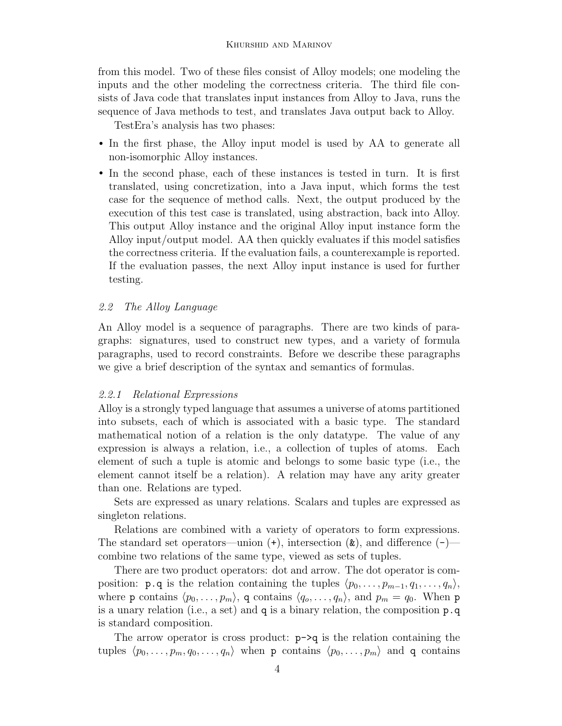from this model. Two of these files consist of Alloy models; one modeling the inputs and the other modeling the correctness criteria. The third file consists of Java code that translates input instances from Alloy to Java, runs the sequence of Java methods to test, and translates Java output back to Alloy.

TestEra's analysis has two phases:

- In the first phase, the Alloy input model is used by AA to generate all non-isomorphic Alloy instances.
- In the second phase, each of these instances is tested in turn. It is first translated, using concretization, into a Java input, which forms the test case for the sequence of method calls. Next, the output produced by the execution of this test case is translated, using abstraction, back into Alloy. This output Alloy instance and the original Alloy input instance form the Alloy input/output model. AA then quickly evaluates if this model satisfies the correctness criteria. If the evaluation fails, a counterexample is reported. If the evaluation passes, the next Alloy input instance is used for further testing.

### 2.2 The Alloy Language

An Alloy model is a sequence of paragraphs. There are two kinds of paragraphs: signatures, used to construct new types, and a variety of formula paragraphs, used to record constraints. Before we describe these paragraphs we give a brief description of the syntax and semantics of formulas.

#### 2.2.1 Relational Expressions

Alloy is a strongly typed language that assumes a universe of atoms partitioned into subsets, each of which is associated with a basic type. The standard mathematical notion of a relation is the only datatype. The value of any expression is always a relation, i.e., a collection of tuples of atoms. Each element of such a tuple is atomic and belongs to some basic type (i.e., the element cannot itself be a relation). A relation may have any arity greater than one. Relations are typed.

Sets are expressed as unary relations. Scalars and tuples are expressed as singleton relations.

Relations are combined with a variety of operators to form expressions. The standard set operators—union  $(+)$ , intersection  $(k)$ , and difference  $(-)$  combine two relations of the same type, viewed as sets of tuples.

There are two product operators: dot and arrow. The dot operator is composition: **p**.q is the relation containing the tuples  $\langle p_0, \ldots, p_{m-1}, q_1, \ldots, q_n \rangle$ , where p contains  $\langle p_0, \ldots, p_m \rangle$ , q contains  $\langle q_0, \ldots, q_n \rangle$ , and  $p_m = q_0$ . When p is a unary relation (i.e., a set) and q is a binary relation, the composition p.q is standard composition.

The arrow operator is cross product:  $p\rightarrow q$  is the relation containing the tuples  $\langle p_0, \ldots, p_m, q_0, \ldots, q_n \rangle$  when p contains  $\langle p_0, \ldots, p_m \rangle$  and q contains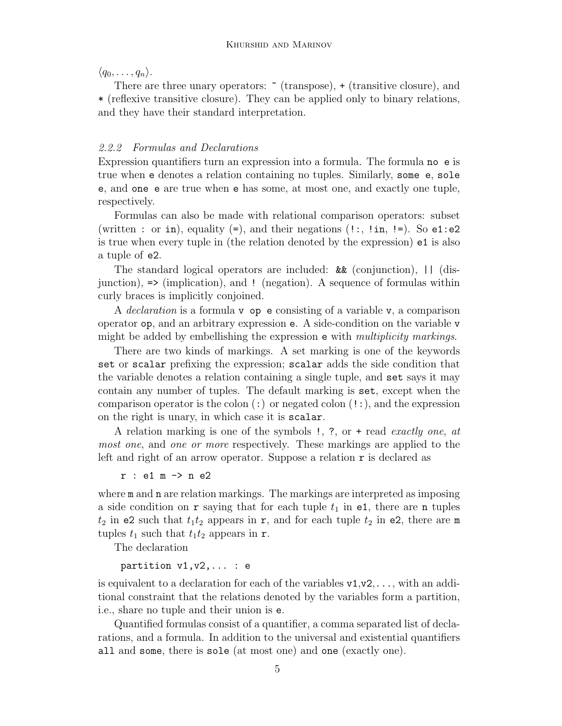$\langle q_0, \ldots, q_n \rangle$ .

There are three unary operators:  $\tilde{ }$  (transpose), + (transitive closure), and \* (reflexive transitive closure). They can be applied only to binary relations, and they have their standard interpretation.

### 2.2.2 Formulas and Declarations

Expression quantifiers turn an expression into a formula. The formula no e is true when e denotes a relation containing no tuples. Similarly, some e, sole e, and one e are true when e has some, at most one, and exactly one tuple, respectively.

Formulas can also be made with relational comparison operators: subset (written : or in), equality  $(=)$ , and their negations  $($ !:, !in, != $)$ . So e1:e2 is true when every tuple in (the relation denoted by the expression) e1 is also a tuple of e2.

The standard logical operators are included: && (conjunction), || (disjunction),  $\Rightarrow$  (implication), and ! (negation). A sequence of formulas within curly braces is implicitly conjoined.

A *declaration* is a formula  $v \circ p$  e consisting of a variable  $v$ , a comparison operator op, and an arbitrary expression e. A side-condition on the variable v might be added by embellishing the expression **e** with *multiplicity markings*.

There are two kinds of markings. A set marking is one of the keywords set or scalar prefixing the expression; scalar adds the side condition that the variable denotes a relation containing a single tuple, and set says it may contain any number of tuples. The default marking is set, except when the comparison operator is the colon  $(:)$  or negated colon  $( ::)$ , and the expression on the right is unary, in which case it is scalar.

A relation marking is one of the symbols !, ?, or + read exactly one, at most one, and one or more respectively. These markings are applied to the left and right of an arrow operator. Suppose a relation  $\mathbf r$  is declared as

 $r : e1 m \rightarrow n e2$ 

where **m** and **n** are relation markings. The markings are interpreted as imposing a side condition on r saying that for each tuple  $t_1$  in e1, there are n tuples  $t_2$  in e2 such that  $t_1t_2$  appears in r, and for each tuple  $t_2$  in e2, there are m tuples  $t_1$  such that  $t_1t_2$  appears in r.

The declaration

partition  $v1, v2, \ldots$  : e

is equivalent to a declaration for each of the variables  $v1,v2,\ldots$ , with an additional constraint that the relations denoted by the variables form a partition, i.e., share no tuple and their union is e.

Quantified formulas consist of a quantifier, a comma separated list of declarations, and a formula. In addition to the universal and existential quantifiers all and some, there is sole (at most one) and one (exactly one).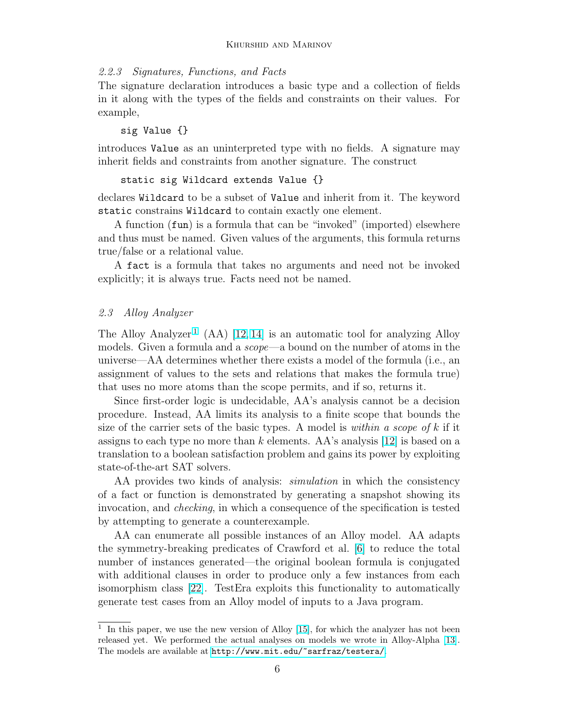### 2.2.3 Signatures, Functions, and Facts

The signature declaration introduces a basic type and a collection of fields in it along with the types of the fields and constraints on their values. For example,

### sig Value {}

introduces Value as an uninterpreted type with no fields. A signature may inherit fields and constraints from another signature. The construct

```
static sig Wildcard extends Value {}
```
declares Wildcard to be a subset of Value and inherit from it. The keyword static constrains Wildcard to contain exactly one element.

A function (fun) is a formula that can be "invoked" (imported) elsewhere and thus must be named. Given values of the arguments, this formula returns true/false or a relational value.

A fact is a formula that takes no arguments and need not be invoked explicitly; it is always true. Facts need not be named.

#### 2.3 Alloy Analyzer

The Alloy Analyzer<sup>1</sup> (AA) [\[12,](#page-18-0) [14\]](#page-18-0) is an automatic tool for analyzing Alloy models. Given a formula and a scope—a bound on the number of atoms in the universe—AA determines whether there exists a model of the formula (i.e., an assignment of values to the sets and relations that makes the formula true) that uses no more atoms than the scope permits, and if so, returns it.

Since first-order logic is undecidable, AA's analysis cannot be a decision procedure. Instead, AA limits its analysis to a finite scope that bounds the size of the carrier sets of the basic types. A model is *within a scope of k* if it assigns to each type no more than k elements. AA's analysis [\[12\]](#page-18-0) is based on a translation to a boolean satisfaction problem and gains its power by exploiting state-of-the-art SAT solvers.

AA provides two kinds of analysis: *simulation* in which the consistency of a fact or function is demonstrated by generating a snapshot showing its invocation, and checking, in which a consequence of the specification is tested by attempting to generate a counterexample.

AA can enumerate all possible instances of an Alloy model. AA adapts the symmetry-breaking predicates of Crawford et al. [\[6\]](#page-17-0) to reduce the total number of instances generated—the original boolean formula is conjugated with additional clauses in order to produce only a few instances from each isomorphism class [\[22\]](#page-18-0). TestEra exploits this functionality to automatically generate test cases from an Alloy model of inputs to a Java program.

<sup>&</sup>lt;sup>1</sup> In this paper, we use the new version of Alloy [\[15\]](#page-18-0), for which the analyzer has not been released yet. We performed the actual analyses on models we wrote in Alloy-Alpha [\[13\]](#page-18-0). The models are available at <http://www.mit.edu/~sarfraz/testera/>.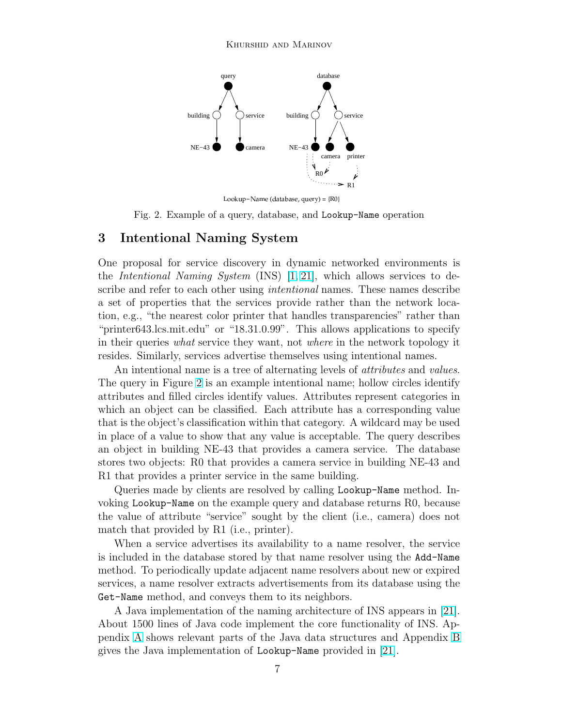<span id="page-6-0"></span>

Fig. 2. Example of a query, database, and Lookup-Name operation

### 3 Intentional Naming System

One proposal for service discovery in dynamic networked environments is the *Intentional Naming System* (INS)  $[1, 21]$  $[1, 21]$  $[1, 21]$ , which allows services to describe and refer to each other using *intentional* names. These names describe a set of properties that the services provide rather than the network location, e.g., "the nearest color printer that handles transparencies" rather than "printer643.lcs.mit.edu" or "18.31.0.99". This allows applications to specify in their queries what service they want, not where in the network topology it resides. Similarly, services advertise themselves using intentional names.

An intentional name is a tree of alternating levels of *attributes* and *values*. The query in Figure 2 is an example intentional name; hollow circles identify attributes and filled circles identify values. Attributes represent categories in which an object can be classified. Each attribute has a corresponding value that is the object's classification within that category. A wildcard may be used in place of a value to show that any value is acceptable. The query describes an object in building NE-43 that provides a camera service. The database stores two objects: R0 that provides a camera service in building NE-43 and R1 that provides a printer service in the same building.

Queries made by clients are resolved by calling Lookup-Name method. Invoking Lookup-Name on the example query and database returns R0, because the value of attribute "service" sought by the client (i.e., camera) does not match that provided by R1 (i.e., printer).

When a service advertises its availability to a name resolver, the service is included in the database stored by that name resolver using the Add-Name method. To periodically update adjacent name resolvers about new or expired services, a name resolver extracts advertisements from its database using the Get-Name method, and conveys them to its neighbors.

A Java implementation of the naming architecture of INS appears in [\[21\]](#page-18-0). About 1500 lines of Java code implement the core functionality of INS. Appendix [A](#page-0-0) shows relevant parts of the Java data structures and Appendix [B](#page-2-0) gives the Java implementation of Lookup-Name provided in [\[21\]](#page-18-0).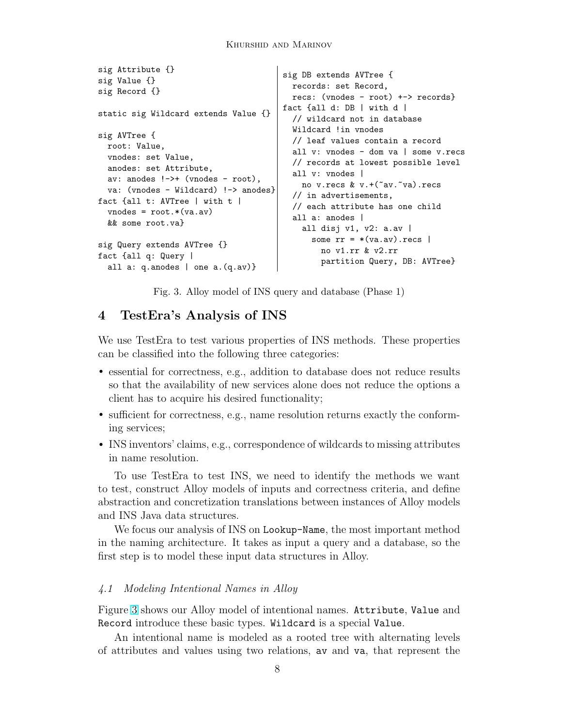```
sig Attribute {}
sig Value {}
sig Record {}
static sig Wildcard extends Value {}
sig AVTree {
 root: Value,
  vnodes: set Value,
  anodes: set Attribute,
  av: anodes !->+ (vnodes - root),
  va: (vnodes - Wildcard) !-> anodes}
fact {all t: AVTree | with t |
  vnodes = root.*(va.av)&& some root.va}
sig Query extends AVTree {}
fact {all q: Query |
  all a: q.anodes | one a. (q.av)}
                                       sig DB extends AVTree {
                                         records: set Record,
                                         recs: (vnodes - root) +-> records}
                                       fact {all d: DB | with d |
                                         // wildcard not in database
                                         Wildcard !in vnodes
                                         // leaf values contain a record
                                         all v: vnodes - dom va | some v.recs
                                         // records at lowest possible level
                                         all v: vnodes |
                                           no v.recs & v.+("av."va).recs
                                         // in advertisements,
                                         // each attribute has one child
                                         all a: anodes |
                                           all disj v1, v2: a.av |
                                             some rr = * (va.av).recs |
                                               no v1.rr & v2.rr
                                               partition Query, DB: AVTree}
```
Fig. 3. Alloy model of INS query and database (Phase 1)

## 4 TestEra's Analysis of INS

We use TestEra to test various properties of INS methods. These properties can be classified into the following three categories:

- essential for correctness, e.g., addition to database does not reduce results so that the availability of new services alone does not reduce the options a client has to acquire his desired functionality;
- sufficient for correctness, e.g., name resolution returns exactly the conforming services;
- INS inventors' claims, e.g., correspondence of wildcards to missing attributes in name resolution.

To use TestEra to test INS, we need to identify the methods we want to test, construct Alloy models of inputs and correctness criteria, and define abstraction and concretization translations between instances of Alloy models and INS Java data structures.

We focus our analysis of INS on Lookup-Name, the most important method in the naming architecture. It takes as input a query and a database, so the first step is to model these input data structures in Alloy.

### 4.1 Modeling Intentional Names in Alloy

Figure 3 shows our Alloy model of intentional names. Attribute, Value and Record introduce these basic types. Wildcard is a special Value.

An intentional name is modeled as a rooted tree with alternating levels of attributes and values using two relations, av and va, that represent the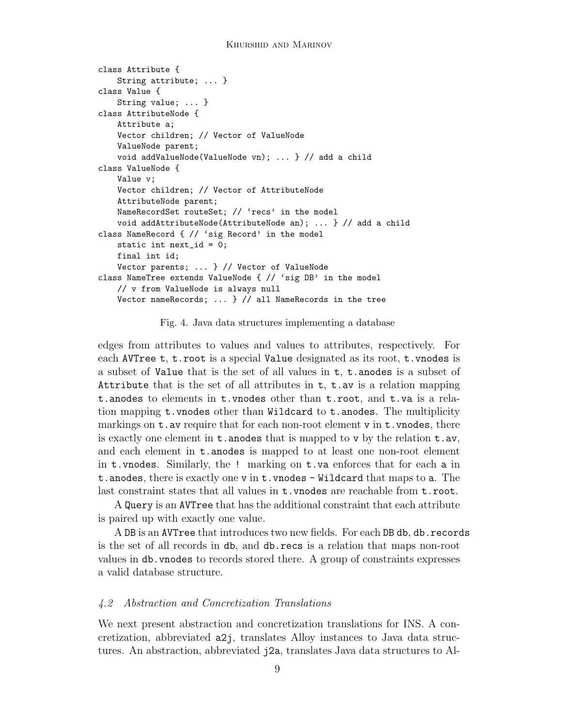```
class Attribute {
   String attribute; ... }
class Value {
   String value; ... }
class AttributeNode {
   Attribute a;
    Vector children; // Vector of ValueNode
   ValueNode parent;
    void addValueNode(ValueNode vn); ... } // add a child
class ValueNode {
   Value v;
   Vector children; // Vector of AttributeNode
    AttributeNode parent;
   NameRecordSet routeSet; // 'recs' in the model
    void addAttributeNode(AttributeNode an); ... } // add a child
class NameRecord { // 'sig Record' in the model
    static int next_id = 0;
    final int id;
    Vector parents; ... } // Vector of ValueNode
class NameTree extends ValueNode { // 'sig DB' in the model
    // v from ValueNode is always null
    Vector nameRecords; ... } // all NameRecords in the tree
```
Fig. 4. Java data structures implementing a database

edges from attributes to values and values to attributes, respectively. For each AVTree t, t.root is a special Value designated as its root, t.vnodes is a subset of Value that is the set of all values in t, t.anodes is a subset of Attribute that is the set of all attributes in t, t.av is a relation mapping t.anodes to elements in t.vnodes other than t.root, and t.va is a relation mapping t.vnodes other than Wildcard to t.anodes. The multiplicity markings on  $t$ , av require that for each non-root element v in  $t$ , vnodes, there is exactly one element in  $t$  and  $t$  and  $t$  is mapped to  $v$  by the relation  $t$  av, and each element in **t**. anodes is mapped to at least one non-root element in t.vnodes. Similarly, the ! marking on t.va enforces that for each a in t.anodes, there is exactly one v in t.vnodes - Wildcard that maps to a. The last constraint states that all values in  $t$ . vnodes are reachable from  $t$ . root.

A Query is an AVTree that has the additional constraint that each attribute is paired up with exactly one value.

A DB is an AVTree that introduces two new fields. For each DB db, db.records is the set of all records in db, and db.recs is a relation that maps non-root values in db.vnodes to records stored there. A group of constraints expresses a valid database structure.

### 4.2 Abstraction and Concretization Translations

We next present abstraction and concretization translations for INS. A concretization, abbreviated a2j, translates Alloy instances to Java data structures. An abstraction, abbreviated j2a, translates Java data structures to Al-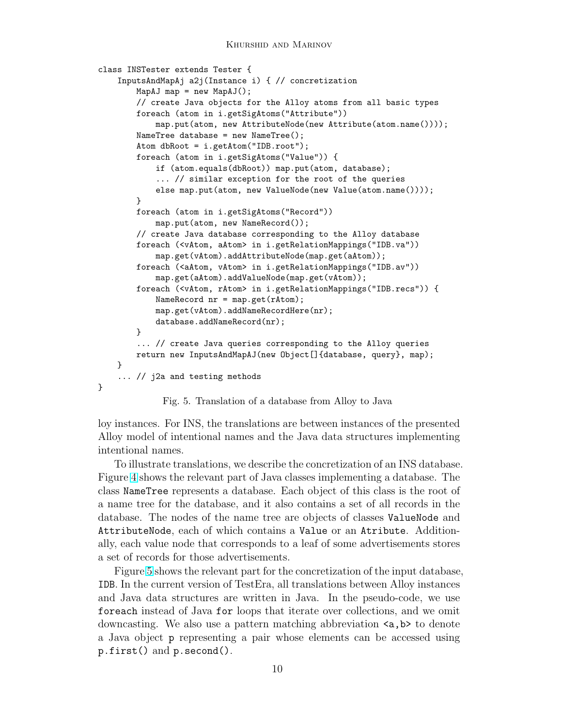```
class INSTester extends Tester {
    InputsAndMapAj a2j(Instance i) { // concretization
        MapAJ map = new MapAJ();
        // create Java objects for the Alloy atoms from all basic types
        foreach (atom in i.getSigAtoms("Attribute"))
            map.put(atom, new AttributeNode(new Attribute(atom.name())));
        NameTree database = new NameTree();
        Atom dbRoot = i.getAtom("IDB.root");
        foreach (atom in i.getSigAtoms("Value")) {
            if (atom.equals(dbRoot)) map.put(atom, database);
            ... // similar exception for the root of the queries
            else map.put(atom, new ValueNode(new Value(atom.name())));
        }
        foreach (atom in i.getSigAtoms("Record"))
            map.put(atom, new NameRecord());
        // create Java database corresponding to the Alloy database
        foreach (<vAtom, aAtom> in i.getRelationMappings("IDB.va"))
            map.get(vAtom).addAttributeNode(map.get(aAtom));
        foreach (<aAtom, vAtom> in i.getRelationMappings("IDB.av"))
            map.get(aAtom).addValueNode(map.get(vAtom));
        foreach (<vAtom, rAtom> in i.getRelationMappings("IDB.recs")) {
            NameRecord nr = map.get(rAtom);
            map.get(vAtom).addNameRecordHere(nr);
            database.addNameRecord(nr);
        }
        ... // create Java queries corresponding to the Alloy queries
        return new InputsAndMapAJ(new Object[]{database, query}, map);
    }
    ... // j2a and testing methods
}
```
#### Fig. 5. Translation of a database from Alloy to Java

loy instances. For INS, the translations are between instances of the presented Alloy model of intentional names and the Java data structures implementing intentional names.

To illustrate translations, we describe the concretization of an INS database. Figure [4](#page-8-0) shows the relevant part of Java classes implementing a database. The class NameTree represents a database. Each object of this class is the root of a name tree for the database, and it also contains a set of all records in the database. The nodes of the name tree are objects of classes ValueNode and AttributeNode, each of which contains a Value or an Atribute. Additionally, each value node that corresponds to a leaf of some advertisements stores a set of records for those advertisements.

Figure 5 shows the relevant part for the concretization of the input database, IDB. In the current version of TestEra, all translations between Alloy instances and Java data structures are written in Java. In the pseudo-code, we use foreach instead of Java for loops that iterate over collections, and we omit downcasting. We also use a pattern matching abbreviation  $\langle a, b \rangle$  to denote a Java object p representing a pair whose elements can be accessed using p.first() and p.second().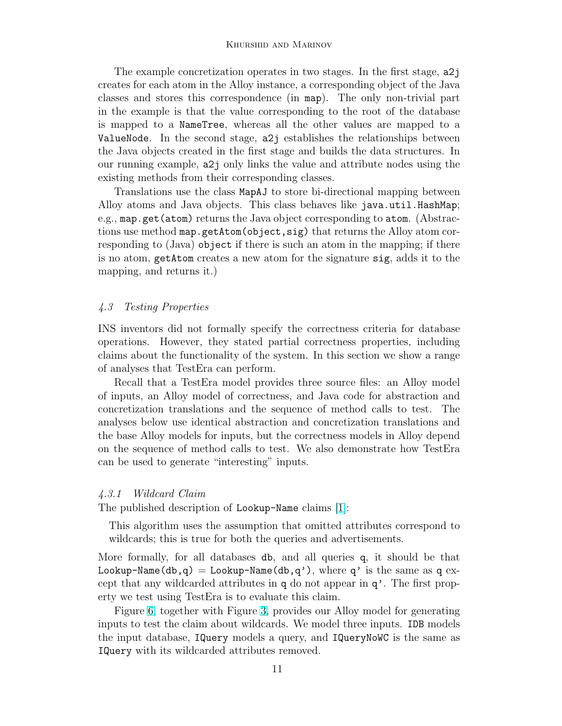The example concretization operates in two stages. In the first stage, a2j creates for each atom in the Alloy instance, a corresponding object of the Java classes and stores this correspondence (in map). The only non-trivial part in the example is that the value corresponding to the root of the database is mapped to a NameTree, whereas all the other values are mapped to a ValueNode. In the second stage, a2j establishes the relationships between the Java objects created in the first stage and builds the data structures. In our running example, a2j only links the value and attribute nodes using the existing methods from their corresponding classes.

Translations use the class MapAJ to store bi-directional mapping between Alloy atoms and Java objects. This class behaves like java.util.HashMap; e.g., map.get(atom) returns the Java object corresponding to atom. (Abstractions use method map.getAtom(object,sig) that returns the Alloy atom corresponding to (Java) object if there is such an atom in the mapping; if there is no atom, getAtom creates a new atom for the signature sig, adds it to the mapping, and returns it.)

#### 4.3 Testing Properties

INS inventors did not formally specify the correctness criteria for database operations. However, they stated partial correctness properties, including claims about the functionality of the system. In this section we show a range of analyses that TestEra can perform.

Recall that a TestEra model provides three source files: an Alloy model of inputs, an Alloy model of correctness, and Java code for abstraction and concretization translations and the sequence of method calls to test. The analyses below use identical abstraction and concretization translations and the base Alloy models for inputs, but the correctness models in Alloy depend on the sequence of method calls to test. We also demonstrate how TestEra can be used to generate "interesting" inputs.

#### 4.3.1 Wildcard Claim

The published description of Lookup-Name claims [\[1\]](#page-17-0):

This algorithm uses the assumption that omitted attributes correspond to wildcards; this is true for both the queries and advertisements.

More formally, for all databases db, and all queries q, it should be that Lookup-Name(db,q) = Lookup-Name(db,q'), where q' is the same as q except that any wildcarded attributes in q do not appear in q'. The first property we test using TestEra is to evaluate this claim.

Figure [6,](#page-11-0) together with Figure [3,](#page-7-0) provides our Alloy model for generating inputs to test the claim about wildcards. We model three inputs. IDB models the input database, IQuery models a query, and IQueryNoWC is the same as IQuery with its wildcarded attributes removed.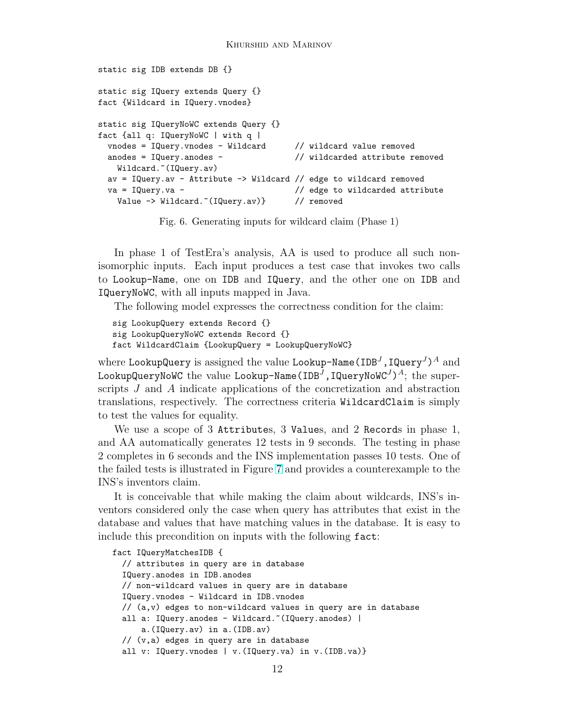```
static sig IDB extends DB {}
static sig IQuery extends Query {}
fact {Wildcard in IQuery.vnodes}
static sig IQueryNoWC extends Query {}
fact {all q: IQueryNoWC | with q |
 vnodes = IQuery.vnodes - Wildcard // wildcard value removed
 anodes = IQuery.anodes - // wildcarded attribute removed
   Wildcard.~(IQuery.av)
 av = IQuery.av - Attribute -> Wildcard // edge to wildcard removed
 va = IQuery.va - \frac{1}{2} // edge to wildcarded attribute
   Value -> Wildcard."(IQuery.av)} // removed
```
Fig. 6. Generating inputs for wildcard claim (Phase 1)

In phase 1 of TestEra's analysis, AA is used to produce all such nonisomorphic inputs. Each input produces a test case that invokes two calls to Lookup-Name, one on IDB and IQuery, and the other one on IDB and IQueryNoWC, with all inputs mapped in Java.

The following model expresses the correctness condition for the claim:

sig LookupQuery extends Record {} sig LookupQueryNoWC extends Record {} fact WildcardClaim {LookupQuery = LookupQueryNoWC}

where LookupQuery is assigned the value Lookup-Name(IDB<sup>J</sup>,IQuery<sup>J</sup>)<sup>A</sup> and LookupQueryNoWC the value Lookup-Name(IDB $^J$ ,IQueryNoWC $^J)^A;$  the superscripts J and A indicate applications of the concretization and abstraction translations, respectively. The correctness criteria WildcardClaim is simply to test the values for equality.

We use a scope of 3 Attributes, 3 Values, and 2 Records in phase 1, and AA automatically generates 12 tests in 9 seconds. The testing in phase 2 completes in 6 seconds and the INS implementation passes 10 tests. One of the failed tests is illustrated in Figure [7](#page-12-0) and provides a counterexample to the INS's inventors claim.

It is conceivable that while making the claim about wildcards, INS's inventors considered only the case when query has attributes that exist in the database and values that have matching values in the database. It is easy to include this precondition on inputs with the following fact:

```
fact IQueryMatchesIDB {
  // attributes in query are in database
  IQuery.anodes in IDB.anodes
  // non-wildcard values in query are in database
  IQuery.vnodes - Wildcard in IDB.vnodes
  // (a,v) edges to non-wildcard values in query are in database
  all a: IQuery.anodes - Wildcard."(IQuery.anodes) |
     a.(IQuery.av) in a.(IDB.av)
  // (v,a) edges in query are in database
  all v: IQuery.vnodes | v.(IQuery.va) in v.(IDB.va)}
```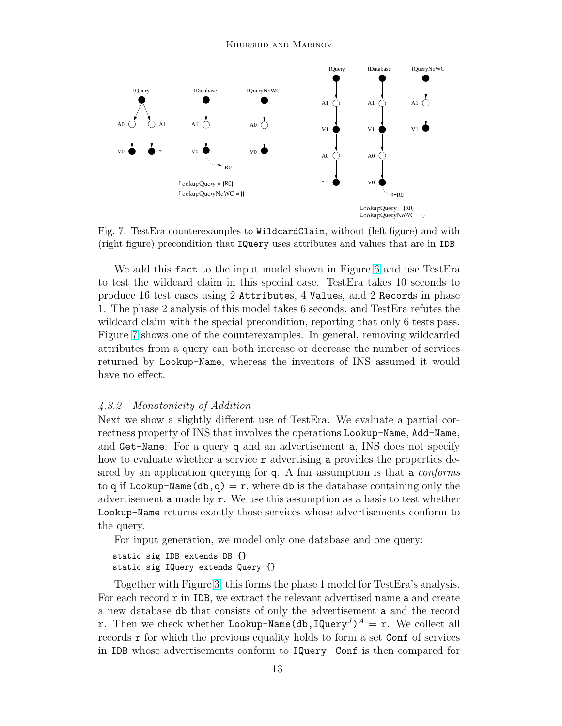<span id="page-12-0"></span>

Fig. 7. TestEra counterexamples to WildcardClaim, without (left figure) and with (right figure) precondition that IQuery uses attributes and values that are in IDB

We add this fact to the input model shown in Figure [6](#page-11-0) and use TestEra to test the wildcard claim in this special case. TestEra takes 10 seconds to produce 16 test cases using 2 Attributes, 4 Values, and 2 Records in phase 1. The phase 2 analysis of this model takes 6 seconds, and TestEra refutes the wildcard claim with the special precondition, reporting that only 6 tests pass. Figure 7 shows one of the counterexamples. In general, removing wildcarded attributes from a query can both increase or decrease the number of services returned by Lookup-Name, whereas the inventors of INS assumed it would have no effect.

#### 4.3.2 Monotonicity of Addition

Next we show a slightly different use of TestEra. We evaluate a partial correctness property of INS that involves the operations Lookup-Name, Add-Name, and Get-Name. For a query q and an advertisement a, INS does not specify how to evaluate whether a service  $\mathbf r$  advertising a provides the properties desired by an application querying for  $q$ . A fair assumption is that a *conforms* to q if Lookup-Name(db,q) = r, where db is the database containing only the advertisement a made by r. We use this assumption as a basis to test whether Lookup-Name returns exactly those services whose advertisements conform to the query.

For input generation, we model only one database and one query:

static sig IDB extends DB {} static sig IQuery extends Query {}

Together with Figure [3,](#page-7-0) this forms the phase 1 model for TestEra's analysis. For each record r in IDB, we extract the relevant advertised name a and create a new database db that consists of only the advertisement a and the record r. Then we check whether Lookup-Name(db,IQuery<sup>J</sup>)<sup>A</sup> = r. We collect all records r for which the previous equality holds to form a set Conf of services in IDB whose advertisements conform to IQuery. Conf is then compared for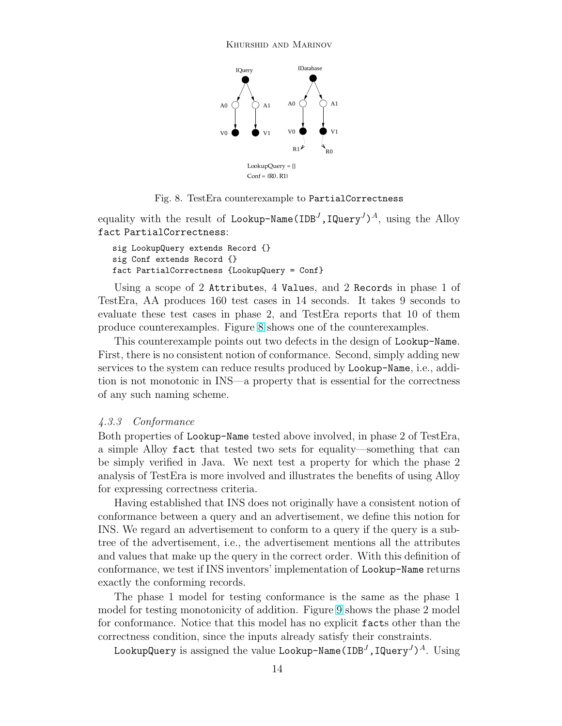

Fig. 8. TestEra counterexample to PartialCorrectness

equality with the result of Lookup-Name(IDB<sup>J</sup>,IQuery<sup>J</sup>)<sup>A</sup>, using the Alloy fact PartialCorrectness:

```
sig LookupQuery extends Record {}
sig Conf extends Record {}
fact PartialCorrectness {LookupQuery = Conf}
```
Using a scope of 2 Attributes, 4 Values, and 2 Records in phase 1 of TestEra, AA produces 160 test cases in 14 seconds. It takes 9 seconds to evaluate these test cases in phase 2, and TestEra reports that 10 of them produce counterexamples. Figure 8 shows one of the counterexamples.

This counterexample points out two defects in the design of Lookup-Name. First, there is no consistent notion of conformance. Second, simply adding new services to the system can reduce results produced by Lookup-Name, i.e., addition is not monotonic in INS—a property that is essential for the correctness of any such naming scheme.

### 4.3.3 Conformance

Both properties of Lookup-Name tested above involved, in phase 2 of TestEra, a simple Alloy fact that tested two sets for equality—something that can be simply verified in Java. We next test a property for which the phase 2 analysis of TestEra is more involved and illustrates the benefits of using Alloy for expressing correctness criteria.

Having established that INS does not originally have a consistent notion of conformance between a query and an advertisement, we define this notion for INS. We regard an advertisement to conform to a query if the query is a subtree of the advertisement, i.e., the advertisement mentions all the attributes and values that make up the query in the correct order. With this definition of conformance, we test if INS inventors' implementation of Lookup-Name returns exactly the conforming records.

The phase 1 model for testing conformance is the same as the phase 1 model for testing monotonicity of addition. Figure [9](#page-14-0) shows the phase 2 model for conformance. Notice that this model has no explicit facts other than the correctness condition, since the inputs already satisfy their constraints.

LookupQuery is assigned the value Lookup-Name(IDB $^J$ ,IQuery $^J)^A$ . Using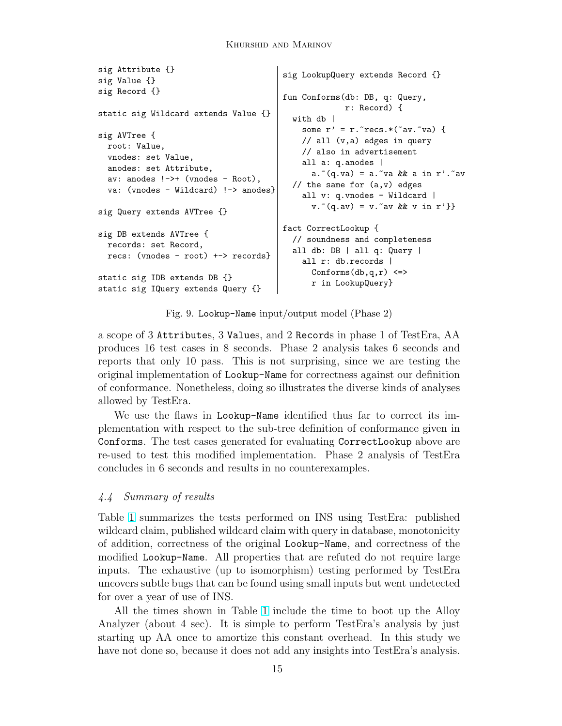```
sig Attribute {}
sig Value {}
sig Record {}
static sig Wildcard extends Value {}
sig AVTree {
 root: Value,
  vnodes: set Value,
  anodes: set Attribute,
  av: anodes !->+ (vnodes - Root),
  va: (vnodes - Wildcard) !-> anodes}
sig Query extends AVTree {}
sig DB extends AVTree {
  records: set Record,
  recs: (vnodes - root) +-> records}
static sig IDB extends DB {}
static sig IQuery extends Query {}
                                       sig LookupQuery extends Record {}
                                       fun Conforms(db: DB, q: Query,
                                                    r: Record) {
                                         with db |
                                           some r' = r. "recs. * ("av. "va) {
                                           // all (v,a) edges in query
                                           // also in advertisement
                                           all a: q.anodes |
                                             a. (q.va) = a. va & a in r'. av
                                         // the same for (a,v) edges
                                           all v: q.vnodes - Wildcard |
                                             v. "(q.av) = v."av && v in r'}}
                                       fact CorrectLookup {
                                         // soundness and completeness
                                         all db: DB | all q: Query |
                                           all r: db.records |
                                             Conforms(db,q,r) \leqr in LookupQuery}
```
Fig. 9. Lookup-Name input/output model (Phase 2)

a scope of 3 Attributes, 3 Values, and 2 Records in phase 1 of TestEra, AA produces 16 test cases in 8 seconds. Phase 2 analysis takes 6 seconds and reports that only 10 pass. This is not surprising, since we are testing the original implementation of Lookup-Name for correctness against our definition of conformance. Nonetheless, doing so illustrates the diverse kinds of analyses allowed by TestEra.

We use the flaws in Lookup-Name identified thus far to correct its implementation with respect to the sub-tree definition of conformance given in Conforms. The test cases generated for evaluating CorrectLookup above are re-used to test this modified implementation. Phase 2 analysis of TestEra concludes in 6 seconds and results in no counterexamples.

#### 4.4 Summary of results

Table [1](#page-15-0) summarizes the tests performed on INS using TestEra: published wildcard claim, published wildcard claim with query in database, monotonicity of addition, correctness of the original Lookup-Name, and correctness of the modified Lookup-Name. All properties that are refuted do not require large inputs. The exhaustive (up to isomorphism) testing performed by TestEra uncovers subtle bugs that can be found using small inputs but went undetected for over a year of use of INS.

All the times shown in Table [1](#page-15-0) include the time to boot up the Alloy Analyzer (about 4 sec). It is simple to perform TestEra's analysis by just starting up AA once to amortize this constant overhead. In this study we have not done so, because it does not add any insights into TestEra's analysis.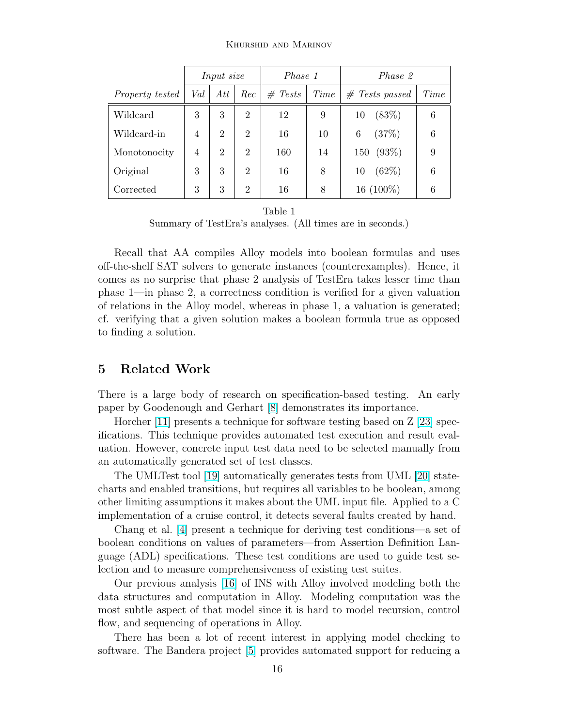#### Khurshid and Marinov

<span id="page-15-0"></span>

|                        | <i>Input size</i> |                |                | Phase 1      |      | Phase 2          |      |
|------------------------|-------------------|----------------|----------------|--------------|------|------------------|------|
| <i>Property tested</i> | Val               | Att            | Rec            | $# \; Tests$ | Time | $# Tests$ passed | Time |
| Wildcard               | 3                 | 3              | $\overline{2}$ | 12           | 9    | (83%)<br>10      | 6    |
| Wildcard-in            | 4                 | $\overline{2}$ | $\overline{2}$ | 16           | 10   | (37%)<br>6       | 6    |
| Monotonocity           | 4                 | $\overline{2}$ | $\overline{2}$ | 160          | 14   | 150 (93%)        | 9    |
| Original               | 3                 | 3              | $\overline{2}$ | 16           | 8    | $(62\%)$<br>10   | 6    |
| Corrected              | 3                 | 3              | $\overline{2}$ | 16           | 8    | $16(100\%)$      | 6    |

| Table 1                                                    |  |
|------------------------------------------------------------|--|
| Summary of TestEra's analyses. (All times are in seconds.) |  |

Recall that AA compiles Alloy models into boolean formulas and uses off-the-shelf SAT solvers to generate instances (counterexamples). Hence, it comes as no surprise that phase 2 analysis of TestEra takes lesser time than phase 1—in phase 2, a correctness condition is verified for a given valuation of relations in the Alloy model, whereas in phase 1, a valuation is generated; cf. verifying that a given solution makes a boolean formula true as opposed to finding a solution.

## 5 Related Work

There is a large body of research on specification-based testing. An early paper by Goodenough and Gerhart [\[8\]](#page-18-0) demonstrates its importance.

Horcher [\[11\]](#page-18-0) presents a technique for software testing based on Z [\[23\]](#page-18-0) specifications. This technique provides automated test execution and result evaluation. However, concrete input test data need to be selected manually from an automatically generated set of test classes.

The UMLTest tool [\[19\]](#page-18-0) automatically generates tests from UML [\[20\]](#page-18-0) statecharts and enabled transitions, but requires all variables to be boolean, among other limiting assumptions it makes about the UML input file. Applied to a C implementation of a cruise control, it detects several faults created by hand.

Chang et al. [\[4\]](#page-17-0) present a technique for deriving test conditions—a set of boolean conditions on values of parameters—from Assertion Definition Language (ADL) specifications. These test conditions are used to guide test selection and to measure comprehensiveness of existing test suites.

Our previous analysis [\[16\]](#page-18-0) of INS with Alloy involved modeling both the data structures and computation in Alloy. Modeling computation was the most subtle aspect of that model since it is hard to model recursion, control flow, and sequencing of operations in Alloy.

There has been a lot of recent interest in applying model checking to software. The Bandera project [\[5\]](#page-17-0) provides automated support for reducing a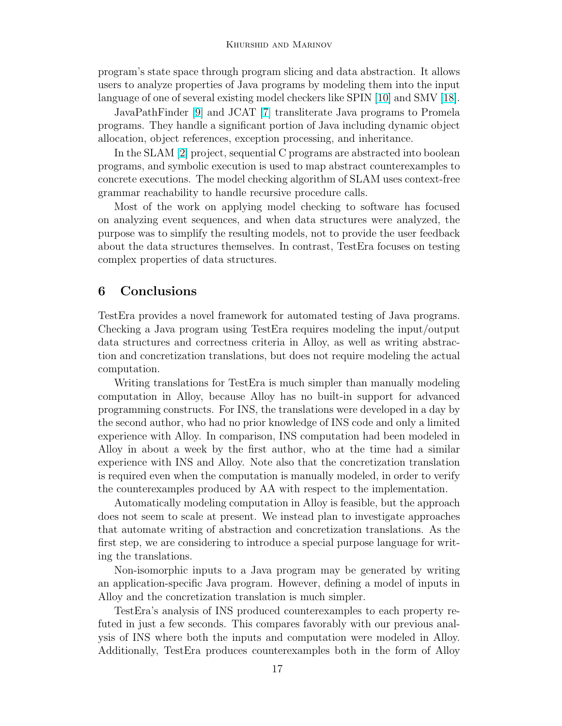<span id="page-16-0"></span>program's state space through program slicing and data abstraction. It allows users to analyze properties of Java programs by modeling them into the input language of one of several existing model checkers like SPIN [\[10\]](#page-18-0) and SMV [\[18\]](#page-18-0).

JavaPathFinder [\[9\]](#page-18-0) and JCAT [\[7\]](#page-17-0) transliterate Java programs to Promela programs. They handle a significant portion of Java including dynamic object allocation, object references, exception processing, and inheritance.

In the SLAM [\[2\]](#page-17-0) project, sequential C programs are abstracted into boolean programs, and symbolic execution is used to map abstract counterexamples to concrete executions. The model checking algorithm of SLAM uses context-free grammar reachability to handle recursive procedure calls.

Most of the work on applying model checking to software has focused on analyzing event sequences, and when data structures were analyzed, the purpose was to simplify the resulting models, not to provide the user feedback about the data structures themselves. In contrast, TestEra focuses on testing complex properties of data structures.

# 6 Conclusions

TestEra provides a novel framework for automated testing of Java programs. Checking a Java program using TestEra requires modeling the input/output data structures and correctness criteria in Alloy, as well as writing abstraction and concretization translations, but does not require modeling the actual computation.

Writing translations for TestEra is much simpler than manually modeling computation in Alloy, because Alloy has no built-in support for advanced programming constructs. For INS, the translations were developed in a day by the second author, who had no prior knowledge of INS code and only a limited experience with Alloy. In comparison, INS computation had been modeled in Alloy in about a week by the first author, who at the time had a similar experience with INS and Alloy. Note also that the concretization translation is required even when the computation is manually modeled, in order to verify the counterexamples produced by AA with respect to the implementation.

Automatically modeling computation in Alloy is feasible, but the approach does not seem to scale at present. We instead plan to investigate approaches that automate writing of abstraction and concretization translations. As the first step, we are considering to introduce a special purpose language for writing the translations.

Non-isomorphic inputs to a Java program may be generated by writing an application-specific Java program. However, defining a model of inputs in Alloy and the concretization translation is much simpler.

TestEra's analysis of INS produced counterexamples to each property refuted in just a few seconds. This compares favorably with our previous analysis of INS where both the inputs and computation were modeled in Alloy. Additionally, TestEra produces counterexamples both in the form of Alloy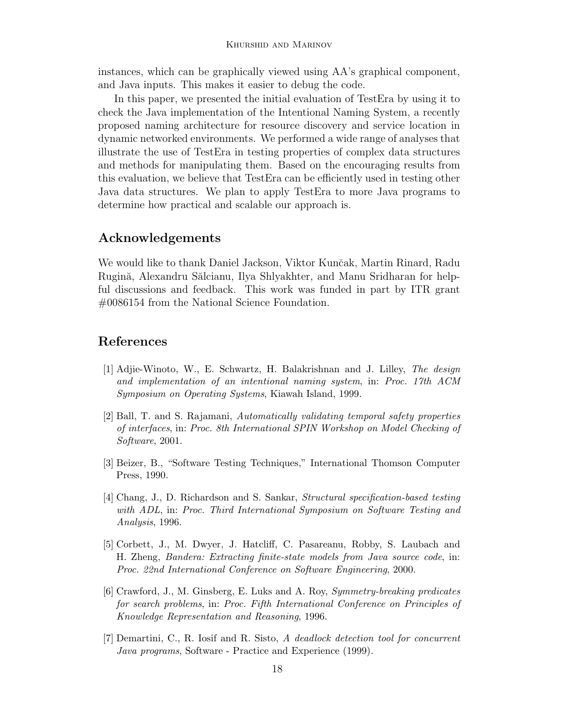<span id="page-17-0"></span>instances, which can be graphically viewed using AA's graphical component, and Java inputs. This makes it easier to debug the code.

In this paper, we presented the initial evaluation of TestEra by using it to check the Java implementation of the Intentional Naming System, a recently proposed naming architecture for resource discovery and service location in dynamic networked environments. We performed a wide range of analyses that illustrate the use of TestEra in testing properties of complex data structures and methods for manipulating them. Based on the encouraging results from this evaluation, we believe that TestEra can be efficiently used in testing other Java data structures. We plan to apply TestEra to more Java programs to determine how practical and scalable our approach is.

# Acknowledgements

We would like to thank Daniel Jackson, Viktor Kunˇcak, Martin Rinard, Radu Rugină, Alexandru Sălcianu, Ilya Shlyakhter, and Manu Sridharan for helpful discussions and feedback. This work was funded in part by ITR grant #0086154 from the National Science Foundation.

# References

- [1] Adjie-Winoto, W., E. Schwartz, H. Balakrishnan and J. Lilley, The design and implementation of an intentional naming system, in: Proc. 17th ACM Symposium on Operating Systems, Kiawah Island, 1999.
- [2] Ball, T. and S. Rajamani, Automatically validating temporal safety properties of interfaces, in: Proc. 8th International SPIN Workshop on Model Checking of Software, 2001.
- [3] Beizer, B., "Software Testing Techniques," International Thomson Computer Press, 1990.
- [4] Chang, J., D. Richardson and S. Sankar, Structural specification-based testing with ADL, in: Proc. Third International Symposium on Software Testing and Analysis, 1996.
- [5] Corbett, J., M. Dwyer, J. Hatcliff, C. Pasareanu, Robby, S. Laubach and H. Zheng, Bandera: Extracting finite-state models from Java source code, in: Proc. 22nd International Conference on Software Engineering, 2000.
- [6] Crawford, J., M. Ginsberg, E. Luks and A. Roy, Symmetry-breaking predicates for search problems, in: Proc. Fifth International Conference on Principles of Knowledge Representation and Reasoning, 1996.
- [7] Demartini, C., R. Iosif and R. Sisto, A deadlock detection tool for concurrent Java programs, Software - Practice and Experience (1999).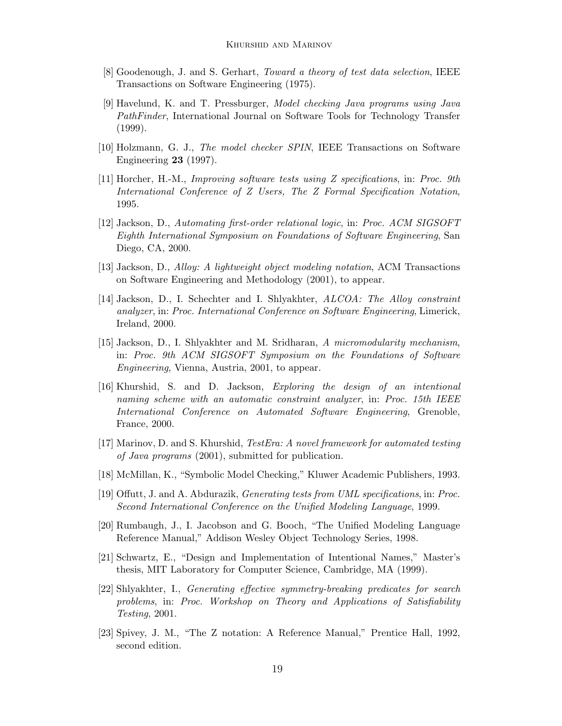- <span id="page-18-0"></span>[8] Goodenough, J. and S. Gerhart, Toward a theory of test data selection, IEEE Transactions on Software Engineering (1975).
- [9] Havelund, K. and T. Pressburger, Model checking Java programs using Java PathFinder, International Journal on Software Tools for Technology Transfer (1999).
- [10] Holzmann, G. J., The model checker SPIN, IEEE Transactions on Software Engineering 23 (1997).
- [11] Horcher, H.-M., Improving software tests using Z specifications, in: Proc. 9th International Conference of Z Users, The Z Formal Specification Notation, 1995.
- [12] Jackson, D., Automating first-order relational logic, in: Proc. ACM SIGSOFT Eighth International Symposium on Foundations of Software Engineering, San Diego, CA, 2000.
- [13] Jackson, D., Alloy: A lightweight object modeling notation, ACM Transactions on Software Engineering and Methodology (2001), to appear.
- [14] Jackson, D., I. Schechter and I. Shlyakhter, ALCOA: The Alloy constraint analyzer, in: Proc. International Conference on Software Engineering, Limerick, Ireland, 2000.
- [15] Jackson, D., I. Shlyakhter and M. Sridharan, A micromodularity mechanism, in: Proc. 9th ACM SIGSOFT Symposium on the Foundations of Software Engineering, Vienna, Austria, 2001, to appear.
- [16] Khurshid, S. and D. Jackson, Exploring the design of an intentional naming scheme with an automatic constraint analyzer, in: Proc. 15th IEEE International Conference on Automated Software Engineering, Grenoble, France, 2000.
- [17] Marinov, D. and S. Khurshid, TestEra: A novel framework for automated testing of Java programs (2001), submitted for publication.
- [18] McMillan, K., "Symbolic Model Checking," Kluwer Academic Publishers, 1993.
- [19] Offutt, J. and A. Abdurazik, Generating tests from UML specifications, in: Proc. Second International Conference on the Unified Modeling Language, 1999.
- [20] Rumbaugh, J., I. Jacobson and G. Booch, "The Unified Modeling Language Reference Manual," Addison Wesley Object Technology Series, 1998.
- [21] Schwartz, E., "Design and Implementation of Intentional Names," Master's thesis, MIT Laboratory for Computer Science, Cambridge, MA (1999).
- [22] Shlyakhter, I., Generating effective symmetry-breaking predicates for search problems, in: Proc. Workshop on Theory and Applications of Satisfiability Testing, 2001.
- [23] Spivey, J. M., "The Z notation: A Reference Manual," Prentice Hall, 1992, second edition.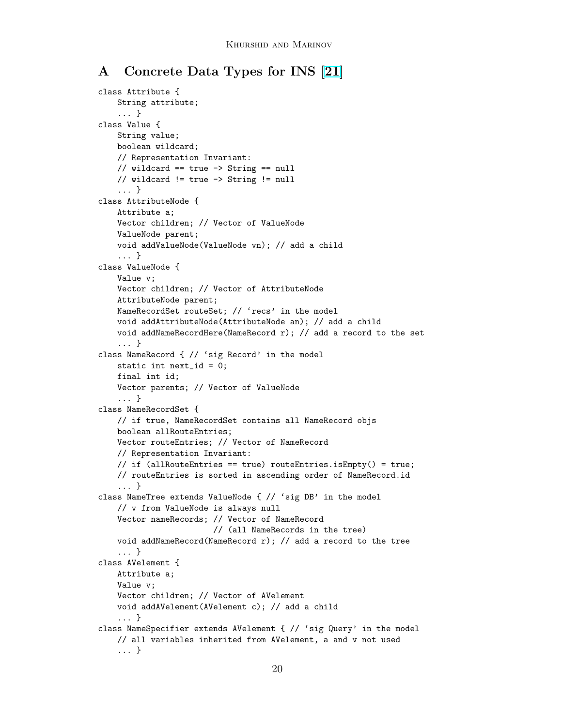# A Concrete Data Types for INS [\[21\]](#page-18-0)

```
class Attribute {
   String attribute;
    ... }
class Value {
   String value;
   boolean wildcard;
   // Representation Invariant:
    // wildcard == true -> String == null
    // wildcard != true -> String != null
    ... }
class AttributeNode {
    Attribute a;
   Vector children; // Vector of ValueNode
    ValueNode parent;
    void addValueNode(ValueNode vn); // add a child
    ... }
class ValueNode {
   Value v;
   Vector children; // Vector of AttributeNode
   AttributeNode parent;
   NameRecordSet routeSet; // 'recs' in the model
   void addAttributeNode(AttributeNode an); // add a child
    void addNameRecordHere(NameRecord r); // add a record to the set
    ... }
class NameRecord { // 'sig Record' in the model
   static int next_id = 0;
    final int id;
   Vector parents; // Vector of ValueNode
    ... }
class NameRecordSet {
    // if true, NameRecordSet contains all NameRecord objs
   boolean allRouteEntries;
   Vector routeEntries; // Vector of NameRecord
   // Representation Invariant:
    // if (allRouteEntries == true) routeEntries.isEmpty() = true;
   // routeEntries is sorted in ascending order of NameRecord.id
    ... }
class NameTree extends ValueNode { // 'sig DB' in the model
    // v from ValueNode is always null
   Vector nameRecords; // Vector of NameRecord
                        // (all NameRecords in the tree)
    void addNameRecord(NameRecord r); // add a record to the tree
    ... }
class AVelement {
   Attribute a;
    Value v;
   Vector children; // Vector of AVelement
    void addAVelement(AVelement c); // add a child
    ... }
class NameSpecifier extends AVelement { // 'sig Query' in the model
    // all variables inherited from AVelement, a and v not used
    ... }
```